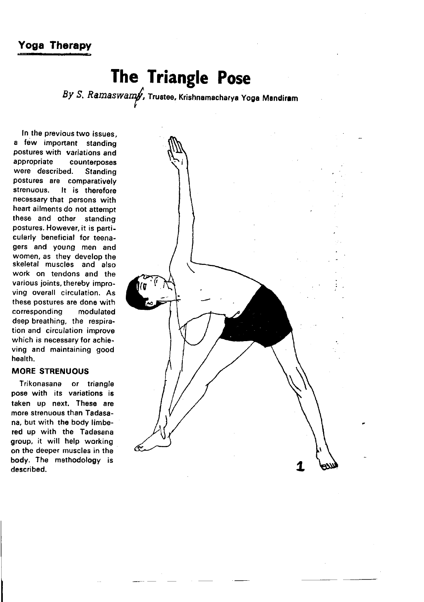# Yoga Therapy

# The Triangle Pose

By S, Ramaswamy, Trustee, Krishnamacharya Yoga Mandiram

In the previous two issues, a few important standing postures with variations and<br>appropriate counterposes counterposes were described. Standing postures are comparatively strenuous. It is therefore necessary that persons with heart ailments do not attempt these and other standing postures. However, it is particularly beneficial for teenagers and young men and women, as they develop the skeletal muscles and also work on tendons and the various joints, thereby improving overall circulation. As these postures are done with corresponding modulated deep breathing, the respiration and circulation improve which is necessary for achieving and maintaining good health.

## MORE STRENUOUS

Trikonasana or triangle pose with its variations is taken up next, These are more strenuous than Tadasana, bur wirh the body limbered up with the Tadasana group, it will help working on the deeper muscles in the body. The methodology is described.

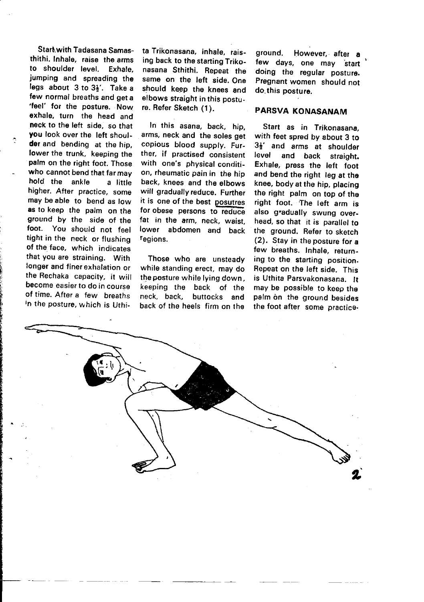Start with Tadasana Samasthithi. Inhale, raise the arms<br>to shoulder level. Exhale. to shoulder level jumping and spreading the legs about  $3$  to  $3\frac{1}{6}$ . Take a few normal breaths and geta 'feel' for the posture. Now exhale, turn the head and neck to the left side, so that you look over the left shoulder and bending at the hip, lower the trunk, keeping the palm on the right foot. Those who cannot bend that far may hold the ankle a little higher. After practice, some may be able to bend as low as to keep the palm on the ground by the side of the foot. You should not feel tight in the neck or flushing of the face, which indicates that you are straining. With longer and finerexhalation or the Rechaka capacity, it will become easier to do in course of time. After a few breaths In the posture, which is Uthi-

i )

I I ta Trikonasana, inhale, raising back to the starting Trikonasana Sthithi. Repeat the same on the left side. One should keep the knees and elbows straight in this posture. Refer Sketch (1).

In this asana, back, hip, arms, neck and the soles get copious blood supply. Further, if practised consistent with one's physical condition, rheumatic pain in the hip back, knees and the elbows will gradually reduce. Further it is one of the best posutres for obese persons to reduce fat in the arm, neck, waist, lower abdomen and back regions.

Those who are unsteady while standing erect, may do the posture while lying down. keeping the back of rhe neck, back, buttocks and back of the heels firm on the

ground. However,. after a few days, one may start doing the regular posture. Pregnant women should not do this posture.

### PARSVA KONASANAM

Start as in Trikonasana, with feet spred by about 3 to  $3\frac{1}{2}$  and arms at shoulder<br>level and back straight and back straight. Exhale, press the left foot and bend the right leg at the knee, bodyatthe hip, placing the right palm on top of the right foot. The teft arm is also gradually swung overhead, so that it is parallel to the ground. Refer to sketeh (2), Stay in theposture for a few breaths. Inhale, returning to the starting position. Repeat on the left side. This is Uthita Parsvakonasana. lt may be possible to keep the palm on the ground besides the foot after some practice-